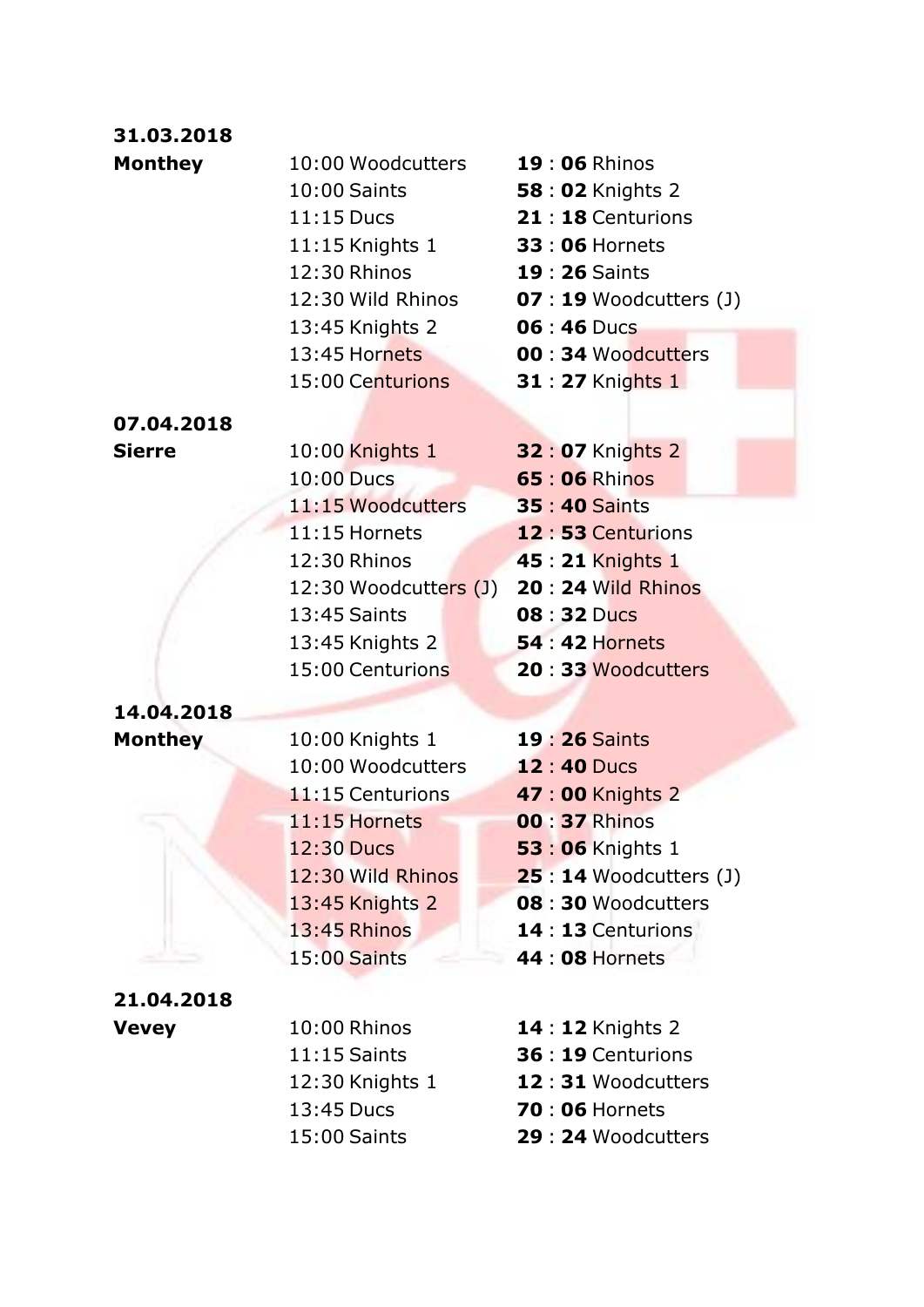### **31.03.2018**

| <b>Monthey</b> | 10:00 Woodcutters | <b>19:06 Rhinos</b>      |
|----------------|-------------------|--------------------------|
|                | 10:00 Saints      | <b>58:02 Knights 2</b>   |
|                | $11:15$ Ducs      | 21:18 Centurions         |
|                | 11:15 Knights 1   | <b>33:06 Hornets</b>     |
|                | 12:30 Rhinos      | <b>19:26 Saints</b>      |
|                | 12:30 Wild Rhinos | $07:19$ Woodcutters (J)  |
|                | 13:45 Knights 2   | 06 : 46 Ducs             |
|                | 13:45 Hornets     | <b>00:34 Woodcutters</b> |
|                | 15:00 Centurions  | <b>31:27 Knights 1</b>   |
| 07.04.2018     |                   |                          |

| <b>Sierre</b> | 10:00 Knights 1       | <b>32:07 Knights 2</b> |
|---------------|-----------------------|------------------------|
|               | 10:00 Ducs            | <b>65 : 06 Rhinos</b>  |
|               | 11:15 Woodcutters     | <b>35:40 Saints</b>    |
|               | 11:15 Hornets         | 12:53 Centurions       |
|               | 12:30 Rhinos          | 45 : 21 Knights 1      |
|               | 12:30 Woodcutters (J) | 20 : 24 Wild Rhinos    |
|               | 13:45 Saints          | 08:32 Ducs             |
|               | 13:45 Knights 2       | <b>54 : 42 Hornets</b> |
|               | 15:00 Centurions      | 20:33 Woodcutters      |

## **14.04.2018**

**Monthey** 10:00 Knights 1 **19:26 Saints** 10:00 Woodcutters **12** : **40** Ducs 11:15 Centurions **47** : **00** Knights 2 11:15 Hornets **00** : **37** Rhinos 12:30 Ducs **53** : **06** Knights 1 12:30 Wild Rhinos **25** : **14** Woodcutters (J) 13:45 Knights 2 **08** : **30** Woodcutters 13:45 Rhinos **14** : **13** Centurions 15:00 Saints **44** : **08** Hornets

#### **21.04.2018**

| <b>Vevey</b> | 10:00 Rhinos    | <b>14 : 12 Knights 2</b> |
|--------------|-----------------|--------------------------|
|              | $11:15$ Saints  | 36 : 19 Centurions       |
|              | 12:30 Knights 1 | 12:31 Woodcutters        |
|              | 13:45 Ducs      | <b>70:06 Hornets</b>     |
|              | $15:00$ Saints  | 29 : 24 Woodcutters      |
|              |                 |                          |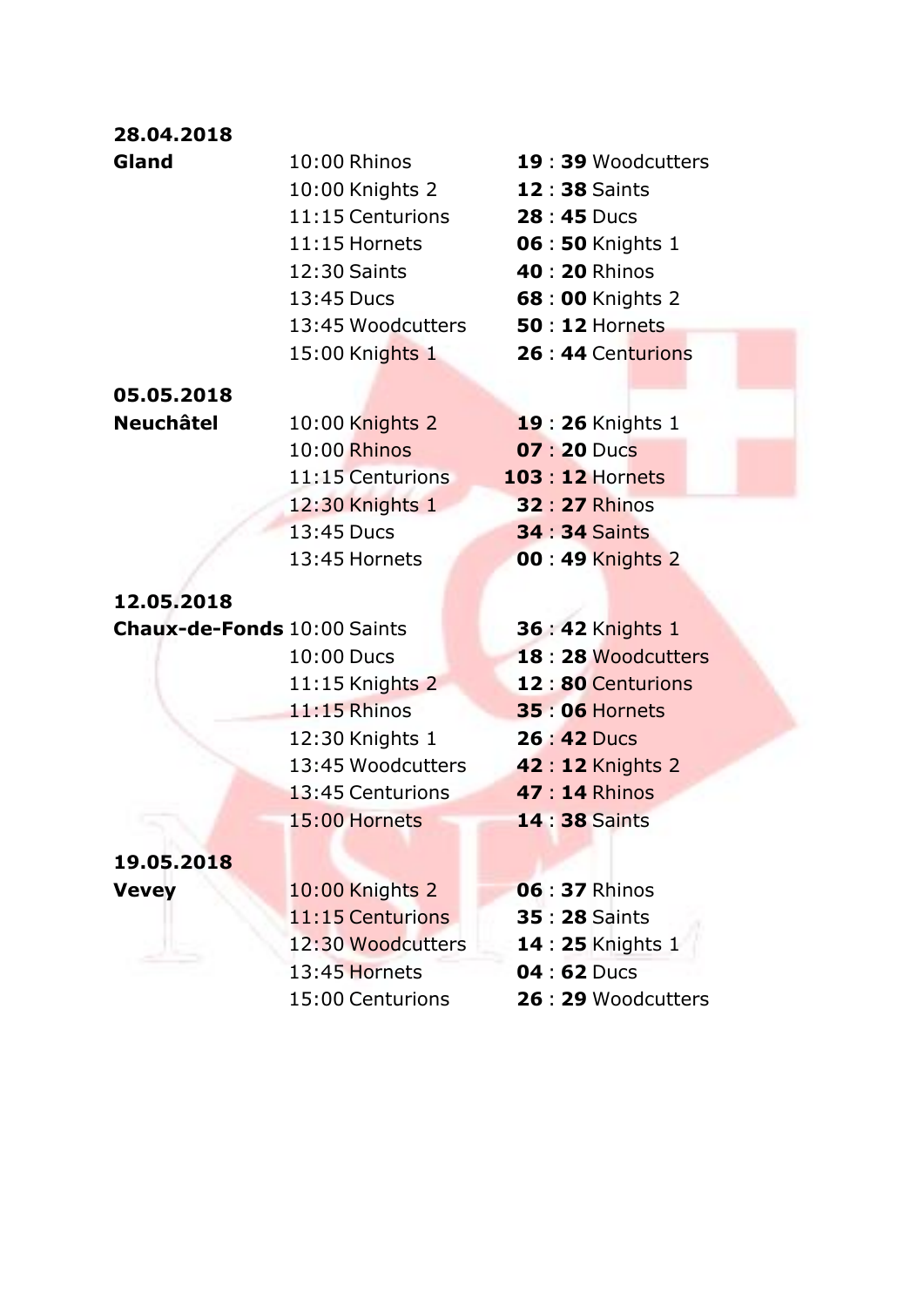### **28.04.2018**

- 10:00 Knights 2 **12** : **38** Saints 11:15 Centurions **28** : **45** Ducs 11:15 Hornets **06** : **50** Knights 1 12:30 Saints **40** : **20** Rhinos 13:45 Ducs **68** : **00** Knights 2 13:45 Woodcutters **50** : **12** Hornets 15:00 Knights 1 **26** : **44** Centurions
- **05.05.2018**
- 
- 10:00 Rhinos **07** : **20** Ducs 12:30 Knights 1 **32** : **27** Rhinos 13:45 Ducs **34** : **34** Saints 13:45 Hornets **00** : **49** Knights 2

#### **12.05.2018**

**Chaux-de-Fonds** 10:00 Saints **36** : **42** Knights 1

11:15 Rhinos **35** : **06** Hornets 12:30 Knights 1 **26** : **42** Ducs 13:45 Woodcutters **42** : **12** Knights 2 13:45 Centurions **47** : **14** Rhinos 15:00 Hornets **14** : **38** Saints

## **19.05.2018**

**Vevey** 10:00 Knights 2 **06** : **37** Rhinos 11:15 Centurions **35** : **28** Saints 12:30 Woodcutters **14** : **25** Knights 1 13:45 Hornets **04** : **62** Ducs 15:00 Centurions **26** : **29** Woodcutters

- **Gland** 10:00 Rhinos **19** : **39** Woodcutters
- **Neuchâtel** 10:00 Knights 2 **19** : **26** Knights 1 11:15 Centurions **103** : **12** Hornets
	-
	- 10:00 Ducs **18** : **28** Woodcutters 11:15 Knights 2 **12** : **80** Centurions
		-